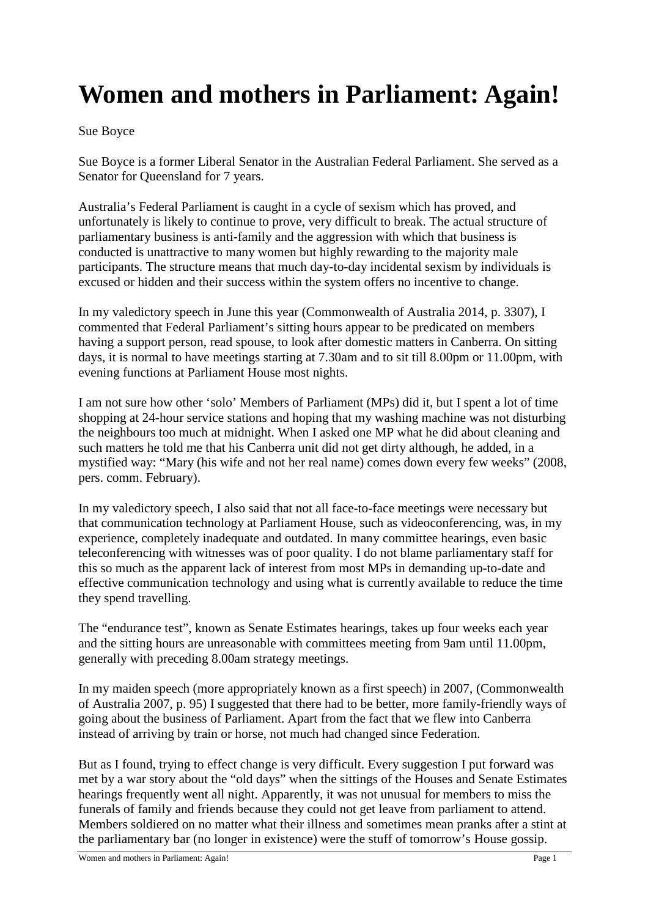## **Women and mothers in Parliament: Again!**

## Sue Boyce

Sue Boyce is a former Liberal Senator in the Australian Federal Parliament. She served as a Senator for Queensland for 7 years.

Australia's Federal Parliament is caught in a cycle of sexism which has proved, and unfortunately is likely to continue to prove, very difficult to break. The actual structure of parliamentary business is anti-family and the aggression with which that business is conducted is unattractive to many women but highly rewarding to the majority male participants. The structure means that much day-to-day incidental sexism by individuals is excused or hidden and their success within the system offers no incentive to change.

In my valedictory speech in June this year (Commonwealth of Australia 2014, p. 3307), I commented that Federal Parliament's sitting hours appear to be predicated on members having a support person, read spouse, to look after domestic matters in Canberra. On sitting days, it is normal to have meetings starting at 7.30am and to sit till 8.00pm or 11.00pm, with evening functions at Parliament House most nights.

I am not sure how other 'solo' Members of Parliament (MPs) did it, but I spent a lot of time shopping at 24-hour service stations and hoping that my washing machine was not disturbing the neighbours too much at midnight. When I asked one MP what he did about cleaning and such matters he told me that his Canberra unit did not get dirty although, he added, in a mystified way: "Mary (his wife and not her real name) comes down every few weeks" (2008, pers. comm. February).

In my valedictory speech, I also said that not all face-to-face meetings were necessary but that communication technology at Parliament House, such as videoconferencing, was, in my experience, completely inadequate and outdated. In many committee hearings, even basic teleconferencing with witnesses was of poor quality. I do not blame parliamentary staff for this so much as the apparent lack of interest from most MPs in demanding up-to-date and effective communication technology and using what is currently available to reduce the time they spend travelling.

The "endurance test", known as Senate Estimates hearings, takes up four weeks each year and the sitting hours are unreasonable with committees meeting from 9am until 11.00pm, generally with preceding 8.00am strategy meetings.

In my maiden speech (more appropriately known as a first speech) in 2007, (Commonwealth of Australia 2007, p. 95) I suggested that there had to be better, more family-friendly ways of going about the business of Parliament. Apart from the fact that we flew into Canberra instead of arriving by train or horse, not much had changed since Federation.

But as I found, trying to effect change is very difficult. Every suggestion I put forward was met by a war story about the "old days" when the sittings of the Houses and Senate Estimates hearings frequently went all night. Apparently, it was not unusual for members to miss the funerals of family and friends because they could not get leave from parliament to attend. Members soldiered on no matter what their illness and sometimes mean pranks after a stint at the parliamentary bar (no longer in existence) were the stuff of tomorrow's House gossip.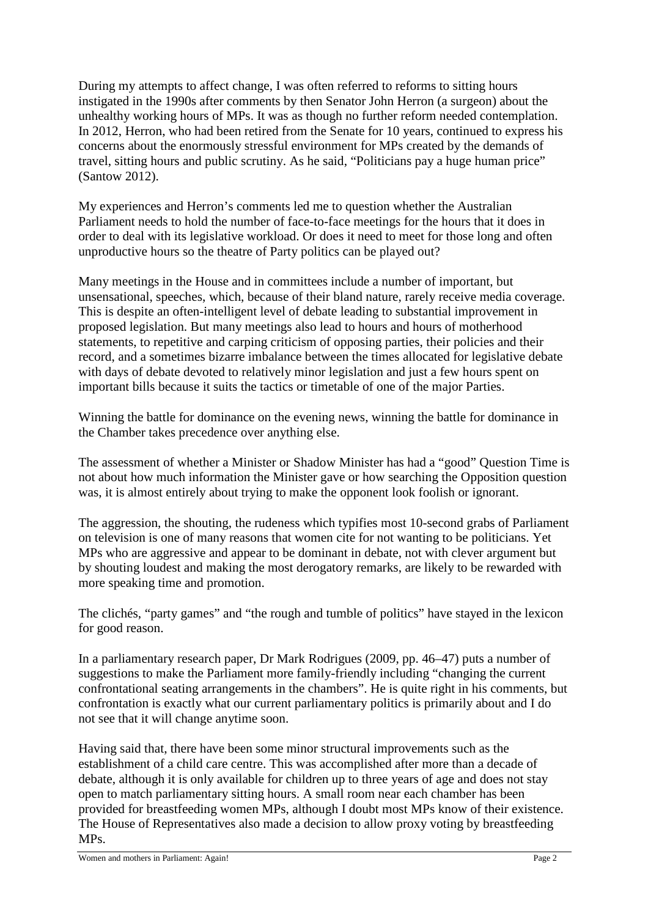During my attempts to affect change, I was often referred to reforms to sitting hours instigated in the 1990s after comments by then Senator John Herron (a surgeon) about the unhealthy working hours of MPs. It was as though no further reform needed contemplation. In 2012, Herron, who had been retired from the Senate for 10 years, continued to express his concerns about the enormously stressful environment for MPs created by the demands of travel, sitting hours and public scrutiny. As he said, "Politicians pay a huge human price" (Santow 2012).

My experiences and Herron's comments led me to question whether the Australian Parliament needs to hold the number of face-to-face meetings for the hours that it does in order to deal with its legislative workload. Or does it need to meet for those long and often unproductive hours so the theatre of Party politics can be played out?

Many meetings in the House and in committees include a number of important, but unsensational, speeches, which, because of their bland nature, rarely receive media coverage. This is despite an often-intelligent level of debate leading to substantial improvement in proposed legislation. But many meetings also lead to hours and hours of motherhood statements, to repetitive and carping criticism of opposing parties, their policies and their record, and a sometimes bizarre imbalance between the times allocated for legislative debate with days of debate devoted to relatively minor legislation and just a few hours spent on important bills because it suits the tactics or timetable of one of the major Parties.

Winning the battle for dominance on the evening news, winning the battle for dominance in the Chamber takes precedence over anything else.

The assessment of whether a Minister or Shadow Minister has had a "good" Question Time is not about how much information the Minister gave or how searching the Opposition question was, it is almost entirely about trying to make the opponent look foolish or ignorant.

The aggression, the shouting, the rudeness which typifies most 10-second grabs of Parliament on television is one of many reasons that women cite for not wanting to be politicians. Yet MPs who are aggressive and appear to be dominant in debate, not with clever argument but by shouting loudest and making the most derogatory remarks, are likely to be rewarded with more speaking time and promotion.

The clichés, "party games" and "the rough and tumble of politics" have stayed in the lexicon for good reason.

In a parliamentary research paper, Dr Mark Rodrigues (2009, pp. 46–47) puts a number of suggestions to make the Parliament more family-friendly including "changing the current confrontational seating arrangements in the chambers". He is quite right in his comments, but confrontation is exactly what our current parliamentary politics is primarily about and I do not see that it will change anytime soon.

Having said that, there have been some minor structural improvements such as the establishment of a child care centre. This was accomplished after more than a decade of debate, although it is only available for children up to three years of age and does not stay open to match parliamentary sitting hours. A small room near each chamber has been provided for breastfeeding women MPs, although I doubt most MPs know of their existence. The House of Representatives also made a decision to allow proxy voting by breastfeeding MPs.

Women and mothers in Parliament: Again! Page 2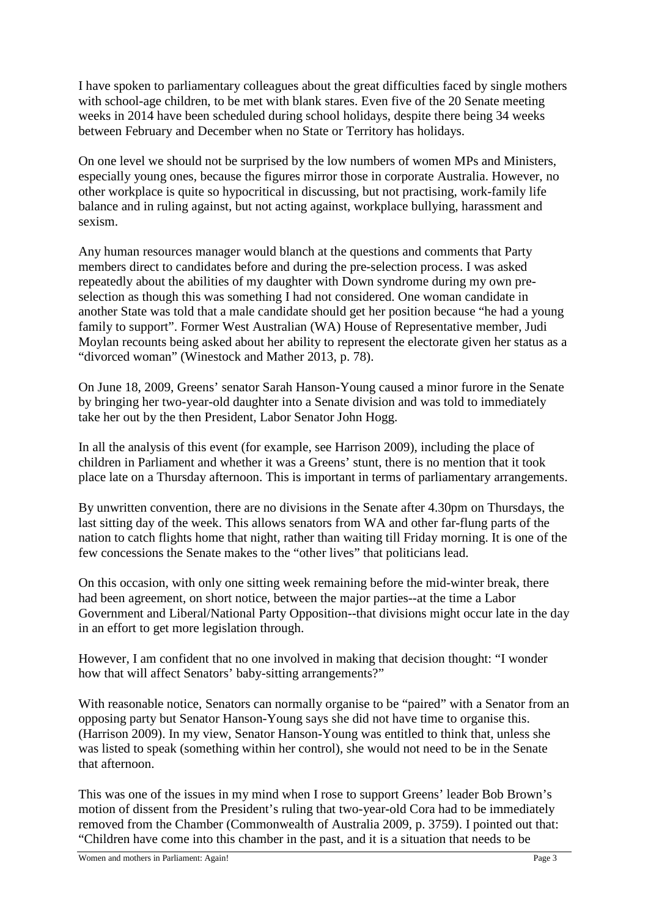I have spoken to parliamentary colleagues about the great difficulties faced by single mothers with school-age children, to be met with blank stares. Even five of the 20 Senate meeting weeks in 2014 have been scheduled during school holidays, despite there being 34 weeks between February and December when no State or Territory has holidays.

On one level we should not be surprised by the low numbers of women MPs and Ministers, especially young ones, because the figures mirror those in corporate Australia. However, no other workplace is quite so hypocritical in discussing, but not practising, work-family life balance and in ruling against, but not acting against, workplace bullying, harassment and sexism.

Any human resources manager would blanch at the questions and comments that Party members direct to candidates before and during the pre-selection process. I was asked repeatedly about the abilities of my daughter with Down syndrome during my own preselection as though this was something I had not considered. One woman candidate in another State was told that a male candidate should get her position because "he had a young family to support". Former West Australian (WA) House of Representative member, Judi Moylan recounts being asked about her ability to represent the electorate given her status as a "divorced woman" (Winestock and Mather 2013, p. 78).

On June 18, 2009, Greens' senator Sarah Hanson-Young caused a minor furore in the Senate by bringing her two-year-old daughter into a Senate division and was told to immediately take her out by the then President, Labor Senator John Hogg.

In all the analysis of this event (for example, see Harrison 2009), including the place of children in Parliament and whether it was a Greens' stunt, there is no mention that it took place late on a Thursday afternoon. This is important in terms of parliamentary arrangements.

By unwritten convention, there are no divisions in the Senate after 4.30pm on Thursdays, the last sitting day of the week. This allows senators from WA and other far-flung parts of the nation to catch flights home that night, rather than waiting till Friday morning. It is one of the few concessions the Senate makes to the "other lives" that politicians lead.

On this occasion, with only one sitting week remaining before the mid-winter break, there had been agreement, on short notice, between the major parties--at the time a Labor Government and Liberal/National Party Opposition--that divisions might occur late in the day in an effort to get more legislation through.

However, I am confident that no one involved in making that decision thought: "I wonder how that will affect Senators' baby-sitting arrangements?"

With reasonable notice, Senators can normally organise to be "paired" with a Senator from an opposing party but Senator Hanson-Young says she did not have time to organise this. (Harrison 2009). In my view, Senator Hanson-Young was entitled to think that, unless she was listed to speak (something within her control), she would not need to be in the Senate that afternoon.

This was one of the issues in my mind when I rose to support Greens' leader Bob Brown's motion of dissent from the President's ruling that two-year-old Cora had to be immediately removed from the Chamber (Commonwealth of Australia 2009, p. 3759). I pointed out that: "Children have come into this chamber in the past, and it is a situation that needs to be